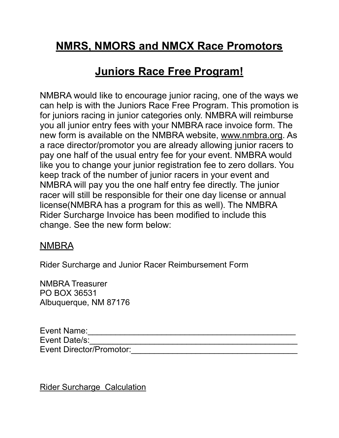## **NMRS, NMORS and NMCX Race Promotors**

## **Juniors Race Free Program!**

NMBRA would like to encourage junior racing, one of the ways we can help is with the Juniors Race Free Program. This promotion is for juniors racing in junior categories only. NMBRA will reimburse you all junior entry fees with your NMBRA race invoice form. The new form is available on the NMBRA website, [www.nmbra.org](http://www.nmbra.org). As a race director/promotor you are already allowing junior racers to pay one half of the usual entry fee for your event. NMBRA would like you to change your junior registration fee to zero dollars. You keep track of the number of junior racers in your event and NMBRA will pay you the one half entry fee directly. The junior racer will still be responsible for their one day license or annual license(NMBRA has a program for this as well). The NMBRA Rider Surcharge Invoice has been modified to include this change. See the new form below:

## NMBRA

Rider Surcharge and Junior Racer Reimbursement Form

NMBRA Treasurer PO BOX 36531 Albuquerque, NM 87176

Event Name:\_\_\_\_\_\_\_\_\_\_\_\_\_\_\_\_\_\_\_\_\_\_\_\_\_\_\_\_\_\_\_\_\_\_\_\_\_\_\_\_\_\_\_\_\_ Event Date/s: Event Director/Promotor:<br>

Rider Surcharge Calculation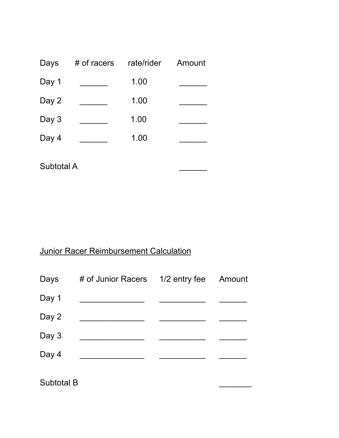| Days  | # of racers | rate/rider | Amount |
|-------|-------------|------------|--------|
| Day 1 |             | 1.00       |        |
| Day 2 |             | 1.00       |        |
| Day 3 |             | 1.00       |        |
| Day 4 |             | 1.00       |        |
|       |             |            |        |

Subtotal A

## Junior Racer Reimbursement Calculation

| Days  | # of Junior Racers 1/2 entry fee | Amount |
|-------|----------------------------------|--------|
| Day 1 |                                  |        |
| Day 2 |                                  |        |
| Day 3 |                                  |        |
| Day 4 |                                  |        |
|       |                                  |        |

Subtotal B